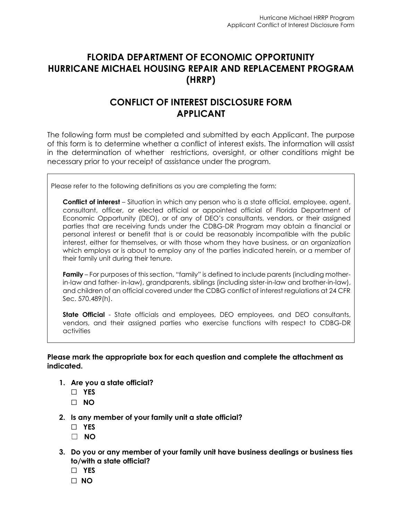# **FLORIDA DEPARTMENT OF ECONOMIC OPPORTUNITY HURRICANE MICHAEL HOUSING REPAIR AND REPLACEMENT PROGRAM (HRRP)**

# **CONFLICT OF INTEREST DISCLOSURE FORM APPLICANT**

The following form must be completed and submitted by each Applicant. The purpose of this form is to determine whether a conflict of interest exists. The information will assist in the determination of whether restrictions, oversight, or other conditions might be necessary prior to your receipt of assistance under the program.

Please refer to the following definitions as you are completing the form:

**Conflict of interest** – Situation in which any person who is a state official, employee, agent, consultant, officer, or elected official or appointed official of Florida Department of Economic Opportunity (DEO), or of any of DEO's consultants, vendors, or their assigned parties that are receiving funds under the CDBG-DR Program may obtain a financial or personal interest or benefit that is or could be reasonably incompatible with the public interest, either for themselves, or with those whom they have business, or an organization which employs or is about to employ any of the parties indicated herein, or a member of their family unit during their tenure.

**Family** – For purposes of this section, "family" is defined to include parents (including motherin-law and father- in-law), grandparents, siblings (including sister-in-law and brother-in-law), and children of an official covered under the CDBG conflict of interest regulations at 24 CFR Sec. 570.489(h).

**State Official** - State officials and employees, DEO employees, and DEO consultants, vendors, and their assigned parties who exercise functions with respect to CDBG-DR activities

### **Please mark the appropriate box for each question and complete the attachment as indicated.**

- **1. Are you a state official?**
	- ☐ **YES**
	- ☐ **NO**
- **2. Is any member of your family unit a state official?**
	- ☐ **YES**
	- ☐ **NO**
- **3. Do you or any member of your family unit have business dealings or business ties to/with a state official?**
	- ☐ **YES**
	- ☐ **NO**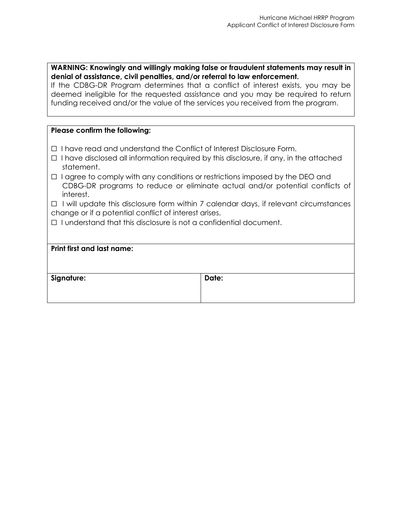### **WARNING: Knowingly and willingly making false or fraudulent statements may result in denial of assistance, civil penalties, and/or referral to law enforcement.**

If the CDBG-DR Program determines that a conflict of interest exists, you may be deemed ineligible for the requested assistance and you may be required to return funding received and/or the value of the services you received from the program.

### **Please confirm the following:**

- ☐ I have read and understand the Conflict of Interest Disclosure Form.
- $\Box$  I have disclosed all information required by this disclosure, if any, in the attached statement.
- □ I agree to comply with any conditions or restrictions imposed by the DEO and CDBG-DR programs to reduce or eliminate actual and/or potential conflicts of interest.

☐ I will update this disclosure form within 7 calendar days, if relevant circumstances change or if a potential conflict of interest arises.

☐ I understand that this disclosure is not a confidential document.

| <b>Print first and last name:</b> |       |
|-----------------------------------|-------|
| Signature:                        | Date: |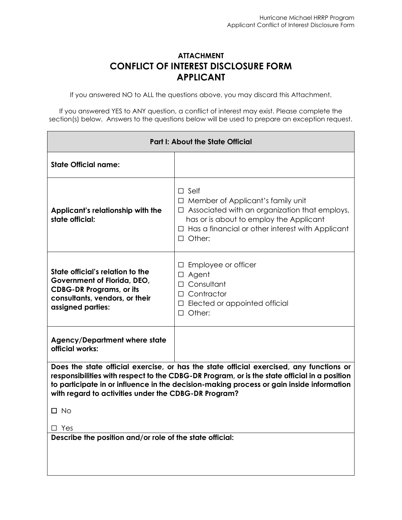## **ATTACHMENT CONFLICT OF INTEREST DISCLOSURE FORM APPLICANT**

If you answered NO to ALL the questions above, you may discard this Attachment.

If you answered YES to ANY question, a conflict of interest may exist. Please complete the section(s) below. Answers to the questions below will be used to prepare an exception request.

| <b>Part I: About the State Official</b>                                                                                                                                                                                                                                                                                                     |                                                                                                                                                                                                                                   |  |
|---------------------------------------------------------------------------------------------------------------------------------------------------------------------------------------------------------------------------------------------------------------------------------------------------------------------------------------------|-----------------------------------------------------------------------------------------------------------------------------------------------------------------------------------------------------------------------------------|--|
| <b>State Official name:</b>                                                                                                                                                                                                                                                                                                                 |                                                                                                                                                                                                                                   |  |
| Applicant's relationship with the<br>state official:                                                                                                                                                                                                                                                                                        | $\Box$ Self<br>□ Member of Applicant's family unit<br>$\Box$ Associated with an organization that employs,<br>has or is about to employ the Applicant<br>$\Box$ Has a financial or other interest with Applicant<br>$\Box$ Other: |  |
| State official's relation to the<br>Government of Florida, DEO,<br><b>CDBG-DR Programs, or its</b><br>consultants, vendors, or their<br>assigned parties:                                                                                                                                                                                   | $\Box$ Employee or officer<br>$\Box$ Agent<br>$\Box$ Consultant<br>$\Box$ Contractor<br>$\Box$ Elected or appointed official<br>$\Box$ Other:                                                                                     |  |
| <b>Agency/Department where state</b><br>official works:                                                                                                                                                                                                                                                                                     |                                                                                                                                                                                                                                   |  |
| Does the state official exercise, or has the state official exercised, any functions or<br>responsibilities with respect to the CDBG-DR Program, or is the state official in a position<br>to participate in or influence in the decision-making process or gain inside information<br>with regard to activities under the CDBG-DR Program? |                                                                                                                                                                                                                                   |  |
| $\square$ No<br>$\Box$ Yes                                                                                                                                                                                                                                                                                                                  |                                                                                                                                                                                                                                   |  |
| Describe the position and/or role of the state official:                                                                                                                                                                                                                                                                                    |                                                                                                                                                                                                                                   |  |
|                                                                                                                                                                                                                                                                                                                                             |                                                                                                                                                                                                                                   |  |